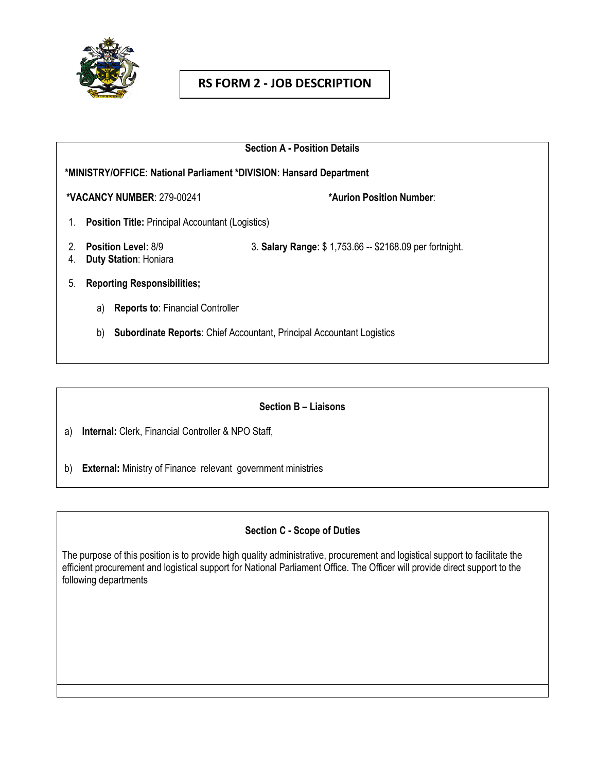

# **RS FORM 2 - JOB DESCRIPTION**

| <b>Section A - Position Details</b><br>*MINISTRY/OFFICE: National Parliament *DIVISION: Hansard Department |                                                         |
|------------------------------------------------------------------------------------------------------------|---------------------------------------------------------|
|                                                                                                            |                                                         |
| <b>Position Title: Principal Accountant (Logistics)</b><br>1.                                              |                                                         |
| <b>Position Level: 8/9</b><br><b>Duty Station: Honiara</b><br>4.                                           | 3. Salary Range: \$1,753.66 -- \$2168.09 per fortnight. |
| <b>Reporting Responsibilities;</b><br>5.                                                                   |                                                         |
| <b>Reports to: Financial Controller</b><br>a)                                                              |                                                         |
| <b>Subordinate Reports:</b> Chief Accountant, Principal Accountant Logistics<br>b)                         |                                                         |

### **Section B – Liaisons**

a) **Internal:** Clerk, Financial Controller & NPO Staff,

b) **External:** Ministry of Finance relevant government ministries

### **Section C - Scope of Duties**

The purpose of this position is to provide high quality administrative, procurement and logistical support to facilitate the efficient procurement and logistical support for National Parliament Office. The Officer will provide direct support to the following departments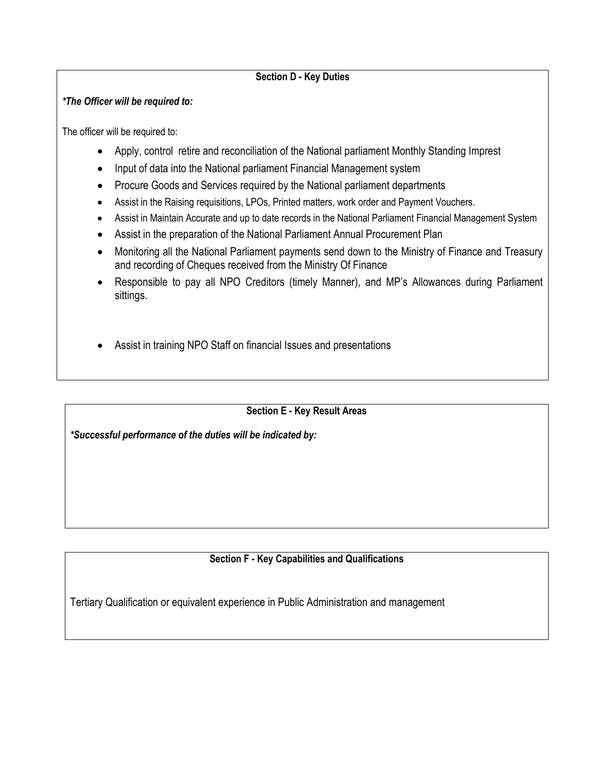### **Section D - Key Duties**

#### *\*The Officer will be required to:*

The officer will be required to:

- Apply, control retire and reconciliation of the National parliament Monthly Standing Imprest
- Input of data into the National parliament Financial Management system
- Procure Goods and Services required by the National parliament departments
- Assist in the Raising requisitions, LPOs, Printed matters, work order and Payment Vouchers.
- Assist in Maintain Accurate and up to date records in the National Parliament Financial Management System
- Assist in the preparation of the National Parliament Annual Procurement Plan
- Monitoring all the National Parliament payments send down to the Ministry of Finance and Treasury and recording of Cheques received from the Ministry Of Finance
- Responsible to pay all NPO Creditors (timely Manner), and MP's Allowances during Parliament sittings.
- Assist in training NPO Staff on financial Issues and presentations

# **Section E - Key Result Areas**

*\*Successful performance of the duties will be indicated by:*

# **Section F - Key Capabilities and Qualifications**

Tertiary Qualification or equivalent experience in Public Administration and management